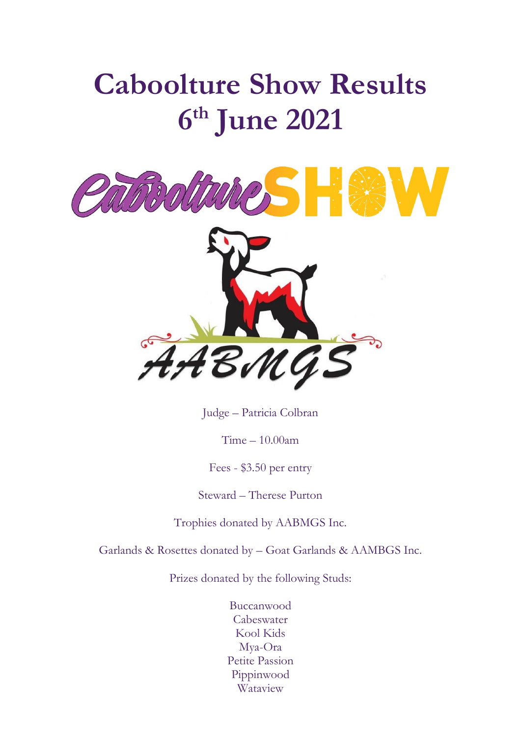# **Caboolture Show Results 6 th June 2021**



Judge – Patricia Colbran

Time – 10.00am

Fees - \$3.50 per entry

Steward – Therese Purton

Trophies donated by AABMGS Inc.

Garlands & Rosettes donated by – Goat Garlands & AAMBGS Inc.

Prizes donated by the following Studs:

Buccanwood Cabeswater Kool Kids Mya-Ora Petite Passion Pippinwood Wataview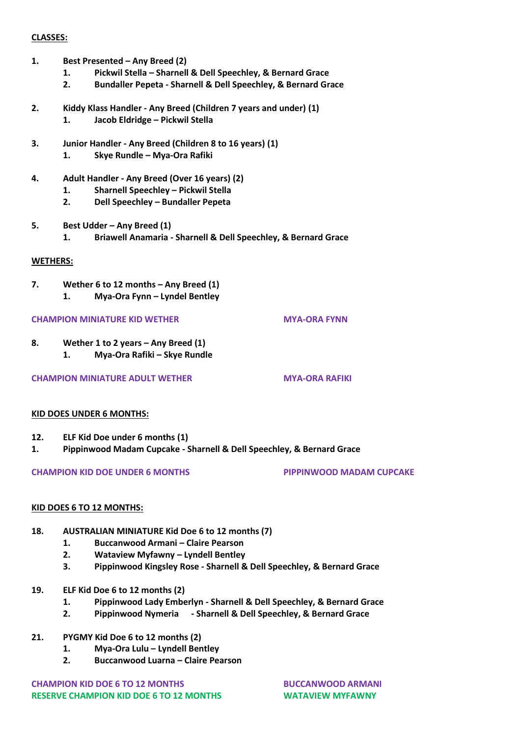#### **CLASSES:**

- **1. Best Presented – Any Breed (2)**
	- **1. Pickwil Stella – Sharnell & Dell Speechley, & Bernard Grace**
	- **2. Bundaller Pepeta - Sharnell & Dell Speechley, & Bernard Grace**
- **2. Kiddy Klass Handler - Any Breed (Children 7 years and under) (1) 1. Jacob Eldridge – Pickwil Stella**
- **3. Junior Handler - Any Breed (Children 8 to 16 years) (1) 1. Skye Rundle – Mya-Ora Rafiki**
- **4. Adult Handler - Any Breed (Over 16 years) (2)**
	- **1. Sharnell Speechley – Pickwil Stella**
	- **2. Dell Speechley – Bundaller Pepeta**
- **5. Best Udder – Any Breed (1) 1. Briawell Anamaria - Sharnell & Dell Speechley, & Bernard Grace**

#### **WETHERS:**

**7. Wether 6 to 12 months – Any Breed (1) 1. Mya-Ora Fynn – Lyndel Bentley**

#### **CHAMPION MINIATURE KID WETHER MYA-ORA FYNN**

**8. Wether 1 to 2 years – Any Breed (1)**

**1. Mya-Ora Rafiki – Skye Rundle**

**CHAMPION MINIATURE ADULT WETHER <b>MYA-ORA RAFIKI** 

#### **KID DOES UNDER 6 MONTHS:**

- **12. ELF Kid Doe under 6 months (1)**
- **1. Pippinwood Madam Cupcake - Sharnell & Dell Speechley, & Bernard Grace**

#### **CHAMPION KID DOE UNDER 6 MONTHS PIPPINWOOD MADAM CUPCAKE**

#### **KID DOES 6 TO 12 MONTHS:**

- **18. AUSTRALIAN MINIATURE Kid Doe 6 to 12 months (7)**
	- **1. Buccanwood Armani – Claire Pearson**
	- **2. Wataview Myfawny – Lyndell Bentley**
	- **3. Pippinwood Kingsley Rose - Sharnell & Dell Speechley, & Bernard Grace**
- **19. ELF Kid Doe 6 to 12 months (2)**
	- **1. Pippinwood Lady Emberlyn - Sharnell & Dell Speechley, & Bernard Grace**
	- **2. Pippinwood Nymeria - Sharnell & Dell Speechley, & Bernard Grace**
- **21. PYGMY Kid Doe 6 to 12 months (2)**
	- **1. Mya-Ora Lulu – Lyndell Bentley**
	- **2. Buccanwood Luarna – Claire Pearson**

**CHAMPION KID DOE 6 TO 12 MONTHS BUCCANWOOD ARMANI RESERVE CHAMPION KID DOE 6 TO 12 MONTHS WATAVIEW MYFAWNY**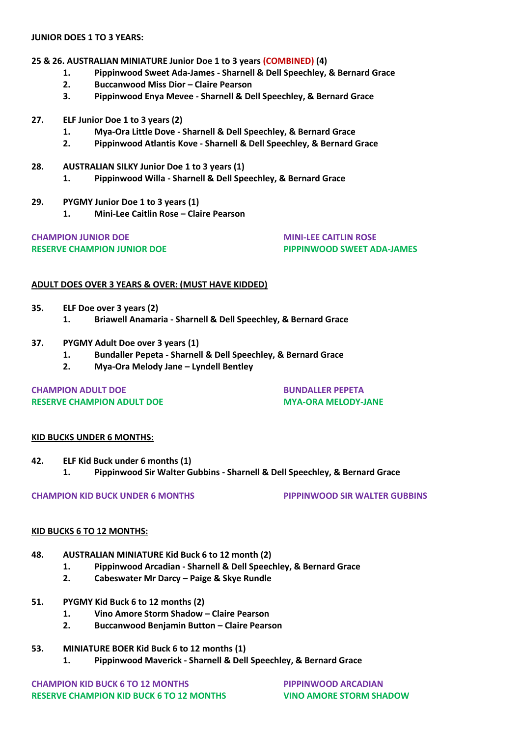#### **JUNIOR DOES 1 TO 3 YEARS:**

#### **25 & 26. AUSTRALIAN MINIATURE Junior Doe 1 to 3 years (COMBINED) (4)**

- **1. Pippinwood Sweet Ada-James - Sharnell & Dell Speechley, & Bernard Grace**
- **2. Buccanwood Miss Dior – Claire Pearson**
- **3. Pippinwood Enya Mevee - Sharnell & Dell Speechley, & Bernard Grace**
- **27. ELF Junior Doe 1 to 3 years (2)**
	- **1. Mya-Ora Little Dove - Sharnell & Dell Speechley, & Bernard Grace**
	- **2. Pippinwood Atlantis Kove - Sharnell & Dell Speechley, & Bernard Grace**
- **28. AUSTRALIAN SILKY Junior Doe 1 to 3 years (1)**
	- **1. Pippinwood Willa - Sharnell & Dell Speechley, & Bernard Grace**
- **29. PYGMY Junior Doe 1 to 3 years (1)**
	- **1. Mini-Lee Caitlin Rose – Claire Pearson**

# **CHAMPION JUNIOR DOE MINI-LEE CAITLIN ROSE**

**RESERVE CHAMPION JUNIOR DOE PIPPINWOOD SWEET ADA-JAMES**

#### **ADULT DOES OVER 3 YEARS & OVER: (MUST HAVE KIDDED)**

- **35. ELF Doe over 3 years (2)**
	- **1. Briawell Anamaria - Sharnell & Dell Speechley, & Bernard Grace**
- **37. PYGMY Adult Doe over 3 years (1)**
	- **1. Bundaller Pepeta - Sharnell & Dell Speechley, & Bernard Grace**
	- **2. Mya-Ora Melody Jane – Lyndell Bentley**

#### **CHAMPION ADULT DOE BUNDALLER PEPETA RESERVE CHAMPION ADULT DOE MYA-ORA MELODY-JANE**

#### **KID BUCKS UNDER 6 MONTHS:**

**42. ELF Kid Buck under 6 months (1) 1. Pippinwood Sir Walter Gubbins - Sharnell & Dell Speechley, & Bernard Grace**

**CHAMPION KID BUCK UNDER 6 MONTHS PIPPINWOOD SIR WALTER GUBBINS**

#### **KID BUCKS 6 TO 12 MONTHS:**

- **48. AUSTRALIAN MINIATURE Kid Buck 6 to 12 month (2)**
	- **1. Pippinwood Arcadian - Sharnell & Dell Speechley, & Bernard Grace**
	- **2. Cabeswater Mr Darcy – Paige & Skye Rundle**
- **51. PYGMY Kid Buck 6 to 12 months (2)**
	- **1. Vino Amore Storm Shadow – Claire Pearson**
	- **2. Buccanwood Benjamin Button – Claire Pearson**
- **53. MINIATURE BOER Kid Buck 6 to 12 months (1)**
	- **1. Pippinwood Maverick - Sharnell & Dell Speechley, & Bernard Grace**

**CHAMPION KID BUCK 6 TO 12 MONTHS PIPPINWOOD ARCADIAN RESERVE CHAMPION KID BUCK 6 TO 12 MONTHS VINO AMORE STORM SHADOW**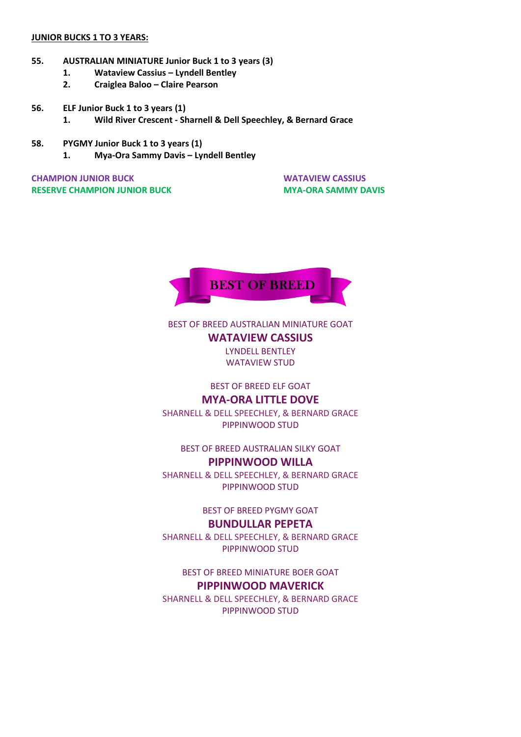#### **JUNIOR BUCKS 1 TO 3 YEARS:**

- **55. AUSTRALIAN MINIATURE Junior Buck 1 to 3 years (3)**
	- **1. Wataview Cassius – Lyndell Bentley**
	- **2. Craiglea Baloo – Claire Pearson**
- **56. ELF Junior Buck 1 to 3 years (1)**
	- **1. Wild River Crescent - Sharnell & Dell Speechley, & Bernard Grace**
- **58. PYGMY Junior Buck 1 to 3 years (1)**
	- **1. Mya-Ora Sammy Davis – Lyndell Bentley**

**CHAMPION JUNIOR BUCK WATAVIEW CASSIUS RESERVE CHAMPION JUNIOR BUCK MYA-ORA SAMMY DAVIS** 



# BEST OF BREED AUSTRALIAN MINIATURE GOAT **WATAVIEW CASSIUS**

LYNDELL BENTLEY WATAVIEW STUD

### BEST OF BREED ELF GOAT **MYA-ORA LITTLE DOVE**

SHARNELL & DELL SPEECHLEY, & BERNARD GRACE PIPPINWOOD STUD

# BEST OF BREED AUSTRALIAN SILKY GOAT

# **PIPPINWOOD WILLA**

SHARNELL & DELL SPEECHLEY, & BERNARD GRACE PIPPINWOOD STUD

BEST OF BREED PYGMY GOAT

# **BUNDULLAR PEPETA**

SHARNELL & DELL SPEECHLEY, & BERNARD GRACE PIPPINWOOD STUD

BEST OF BREED MINIATURE BOER GOAT **PIPPINWOOD MAVERICK**

SHARNELL & DELL SPEECHLEY, & BERNARD GRACE PIPPINWOOD STUD